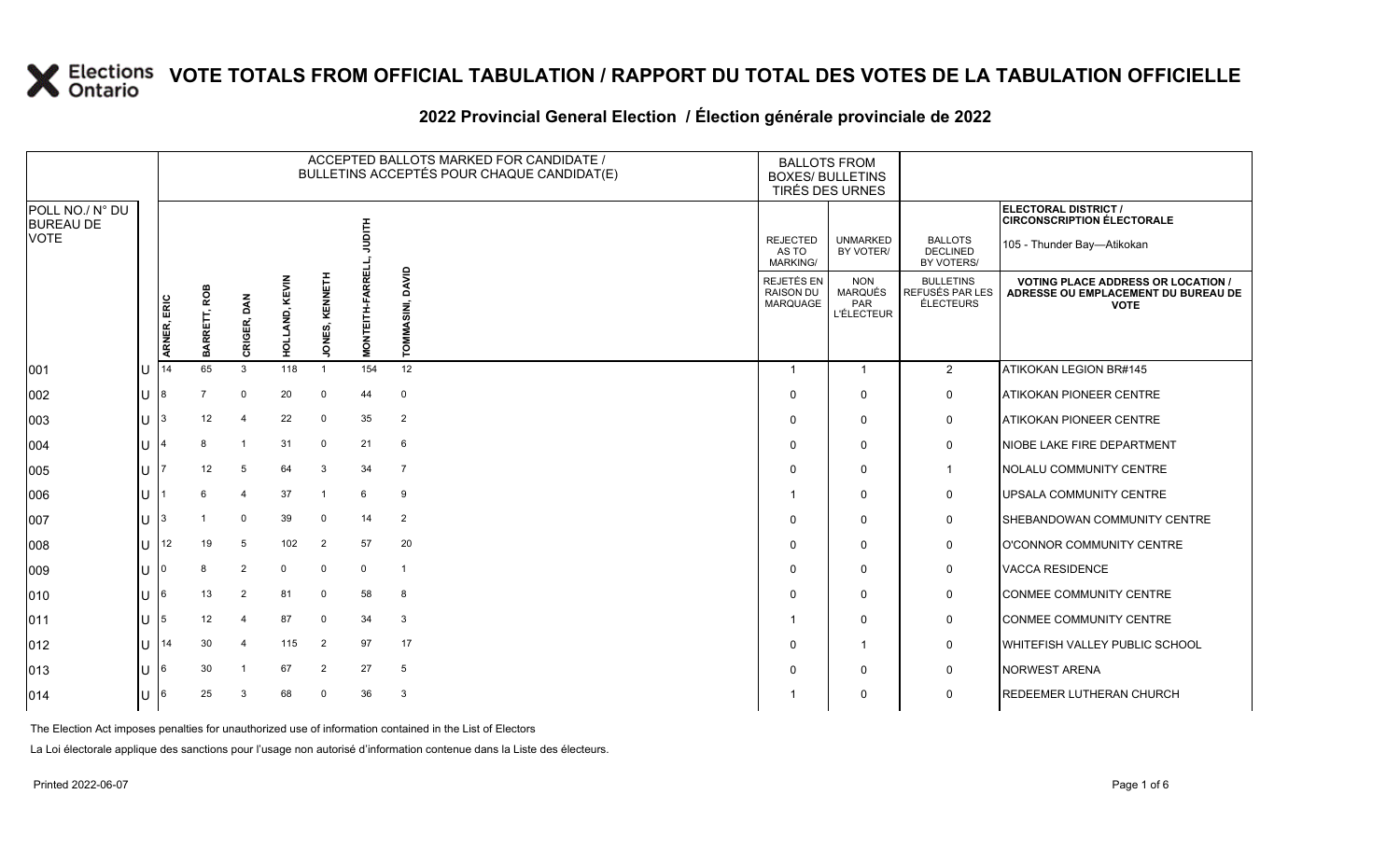#### **2022 Provincial General Election / Élection générale provinciale de 2022**

|                                     |     |             |                 |                         |                     |                       |                        | ACCEPTED BALLOTS MARKED FOR CANDIDATE /<br>BULLETINS ACCEPTÉS POUR CHAQUE CANDIDAT(E) | <b>BALLOTS FROM</b><br><b>BOXES/ BULLETINS</b><br>TIRÉS DES URNES |                                                          |                                                  |                                                                                                 |
|-------------------------------------|-----|-------------|-----------------|-------------------------|---------------------|-----------------------|------------------------|---------------------------------------------------------------------------------------|-------------------------------------------------------------------|----------------------------------------------------------|--------------------------------------------------|-------------------------------------------------------------------------------------------------|
| POLL NO./ N° DU<br><b>BUREAU DE</b> |     |             |                 |                         |                     |                       |                        |                                                                                       |                                                                   |                                                          |                                                  | ELECTORAL DISTRICT /<br><b>CIRCONSCRIPTION ÉLECTORALE</b>                                       |
| <b>VOTE</b>                         |     |             |                 |                         |                     |                       | 百号                     |                                                                                       | <b>REJECTED</b><br>AS TO<br><b>MARKING/</b>                       | <b>UNMARKED</b><br>BY VOTER/                             | <b>BALLOTS</b><br><b>DECLINED</b><br>BY VOTERS/  | 105 - Thunder Bay-Atikokan                                                                      |
|                                     |     | ARNER, ERIC | ROB<br>BARRETT, | DAN<br>CRIGER,          | KEVIN<br>LAND,<br>딯 | KENNETH<br>ONES,<br>∍ | <b>MONTEITH-FARREL</b> | <b>OAVID</b><br>SINI,<br><b>TOMMA</b>                                                 | <b>REJETÉS EN</b><br>RAISON DU<br>MARQUAGE                        | <b>NON</b><br><b>MARQUÉS</b><br>PAR<br><b>L'ÉLECTEUR</b> | <b>BULLETINS</b><br>REFUSÉS PAR LES<br>ÉLECTEURS | <b>VOTING PLACE ADDRESS OR LOCATION /</b><br>ADRESSE OU EMPLACEMENT DU BUREAU DE<br><b>VOTE</b> |
| 001                                 | U   | 14          | 65              | 3                       | 118                 | $\mathbf{1}$          | 154                    | 12                                                                                    |                                                                   | -1                                                       | $\overline{2}$                                   | ATIKOKAN LEGION BR#145                                                                          |
| 002                                 | lU. | 18          |                 | $\Omega$                | 20                  | $\mathbf 0$           | 44                     | $\mathbf 0$                                                                           | $\Omega$                                                          | $\mathbf{0}$                                             | 0                                                | <b>ATIKOKAN PIONEER CENTRE</b>                                                                  |
| 003                                 | U   | 13          | 12              | $\overline{\mathbf{4}}$ | 22                  | $\mathbf 0$           | 35                     | $\overline{2}$                                                                        | $\Omega$                                                          | 0                                                        | 0                                                | <b>ATIKOKAN PIONEER CENTRE</b>                                                                  |
| 004                                 | U   |             |                 | $\overline{1}$          | 31                  | 0                     | 21                     | 6                                                                                     | $\Omega$                                                          | $\mathbf{0}$                                             | 0                                                | NIOBE LAKE FIRE DEPARTMENT                                                                      |
| 005                                 | lU. |             | 12              | 5                       | 64                  | 3                     | 34                     | $\overline{7}$                                                                        | $\Omega$                                                          | $\mathbf 0$                                              | $\mathbf{1}$                                     | NOLALU COMMUNITY CENTRE                                                                         |
| 006                                 | ΙU  |             |                 | $\overline{4}$          | 37                  |                       | 6                      | 9                                                                                     |                                                                   | $\mathbf 0$                                              | 0                                                | <b>IUPSALA COMMUNITY CENTRE</b>                                                                 |
| 007                                 | U   |             |                 | 0                       | 39                  | $\mathbf 0$           | 14                     | $\overline{2}$                                                                        | $\Omega$                                                          | $\mathbf{0}$                                             | 0                                                | SHEBANDOWAN COMMUNITY CENTRE                                                                    |
| 008                                 | U   | 12          | 19              | 5                       | 102                 | $\overline{2}$        | 57                     | 20                                                                                    | $\Omega$                                                          | $\mathbf{0}$                                             | 0                                                | O'CONNOR COMMUNITY CENTRE                                                                       |
| 009                                 | lU. |             |                 | 2                       | 0                   | $\mathbf 0$           | $\mathbf 0$            | $\mathbf{1}$                                                                          | $\Omega$                                                          | $\mathbf{0}$                                             | 0                                                | <b>VACCA RESIDENCE</b>                                                                          |
| 010                                 | U   | 16          | 13              | $\overline{2}$          | 81                  | $\mathbf 0$           | 58                     | 8                                                                                     | $\Omega$                                                          | $\mathbf{0}$                                             | 0                                                | CONMEE COMMUNITY CENTRE                                                                         |
| 011                                 | U   | 15          | 12              | 4                       | 87                  | $\mathbf 0$           | 34                     | 3                                                                                     |                                                                   | $\mathbf{0}$                                             | 0                                                | CONMEE COMMUNITY CENTRE                                                                         |
| $ 012\rangle$                       | U   | 14          | 30              | $\overline{4}$          | 115                 | $\overline{2}$        | 97                     | 17                                                                                    | $\Omega$                                                          | -1                                                       | 0                                                | <b>WHITEFISH VALLEY PUBLIC SCHOOL</b>                                                           |
| 013                                 | U   | I6          | 30              | -1                      | 67                  | $\overline{2}$        | 27                     | 5                                                                                     | $\Omega$                                                          | $\mathbf{0}$                                             | 0                                                | NORWEST ARENA                                                                                   |
| 014                                 | U   | 16          | 25              | 3                       | 68                  | $\Omega$              | 36                     | 3                                                                                     |                                                                   | $\Omega$                                                 | $\mathbf 0$                                      | <b>REDEEMER LUTHERAN CHURCH</b>                                                                 |

The Election Act imposes penalties for unauthorized use of information contained in the List of Electors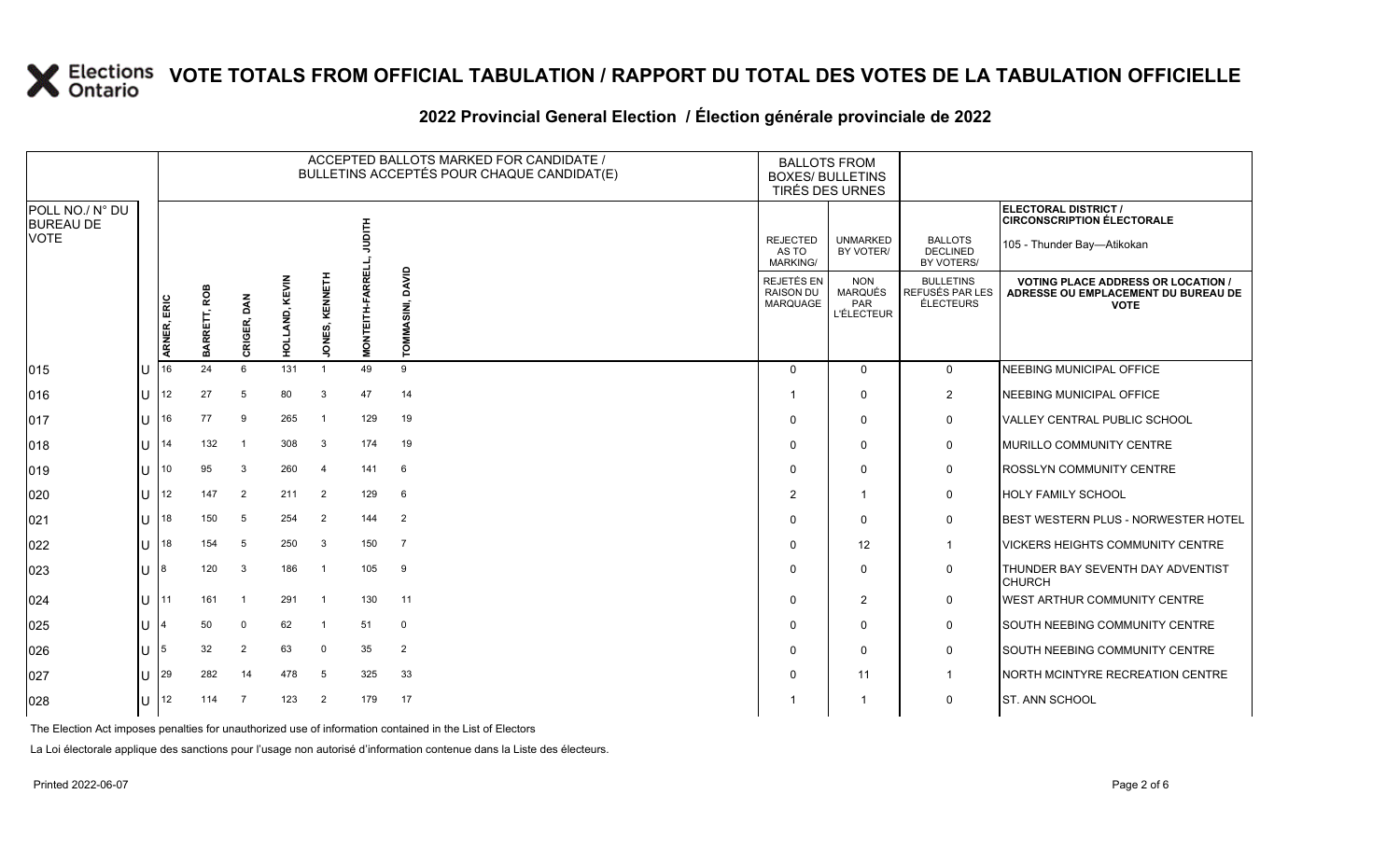### **2022 Provincial General Election / Élection générale provinciale de 2022**

|                                     |             | ACCEPTED BALLOTS MARKED FOR CANDIDATE /<br><b>BALLOTS FROM</b><br>BULLETINS ACCEPTÉS POUR CHAQUE CANDIDAT(E)<br><b>BOXES/ BULLETINS</b><br>TIRÉS DES URNES |                |            |                      |                        |                  |                                                   |                                                          |                                                  |                                                                                               |
|-------------------------------------|-------------|------------------------------------------------------------------------------------------------------------------------------------------------------------|----------------|------------|----------------------|------------------------|------------------|---------------------------------------------------|----------------------------------------------------------|--------------------------------------------------|-----------------------------------------------------------------------------------------------|
| POLL NO./ N° DU<br><b>BUREAU DE</b> |             |                                                                                                                                                            |                |            |                      |                        |                  |                                                   |                                                          |                                                  | ELECTORAL DISTRICT /<br><b>CIRCONSCRIPTION ÉLECTORALE</b>                                     |
| <b>VOTE</b>                         |             |                                                                                                                                                            |                |            |                      | HILE<br>D              |                  | <b>REJECTED</b><br>AS TO<br><b>MARKING/</b>       | <b>UNMARKED</b><br>BY VOTER/                             | <b>BALLOTS</b><br><b>DECLINED</b><br>BY VOTERS/  | 105 - Thunder Bay-Atikokan                                                                    |
|                                     | ARNER, ERIC | ROB<br>BARRETT,                                                                                                                                            | DAN<br>CRIGER, | KEVIN<br>ᇢ | KENNET<br>ONES,<br>∍ | <b>MONTEITH-FARREL</b> | SINI, DAVID<br>홍 | REJETÉS EN<br><b>RAISON DU</b><br><b>MARQUAGE</b> | <b>NON</b><br>MARQUÉS<br><b>PAR</b><br><b>L'ÉLECTEUR</b> | <b>BULLETINS</b><br>REFUSÉS PAR LES<br>ÉLECTEURS | <b>VOTING PLACE ADDRESS OR LOCATION</b><br>ADRESSE OU EMPLACEMENT DU BUREAU DE<br><b>VOTE</b> |
| 015                                 | 16          | 24                                                                                                                                                         | 6              | 131        | $\mathbf{1}$         | 49                     | 9                | $\Omega$                                          | $\mathbf 0$                                              | $\mathbf 0$                                      | NEEBING MUNICIPAL OFFICE                                                                      |
| 016                                 | 12          | 27                                                                                                                                                         | 5              | 80         | 3                    | 47                     | 14               | -1                                                | $\Omega$                                                 | $\overline{2}$                                   | <b>NEEBING MUNICIPAL OFFICE</b>                                                               |
| 017                                 | 16          | 77                                                                                                                                                         | 9              | 265        | -1                   | 129                    | 19               | $\Omega$                                          | $\Omega$                                                 | $\mathbf 0$                                      | VALLEY CENTRAL PUBLIC SCHOOL                                                                  |
| 018                                 | 14          | 132                                                                                                                                                        | $\overline{1}$ | 308        | $\mathbf{3}$         | 174                    | 19               | $\Omega$                                          | $\Omega$                                                 | 0                                                | MURILLO COMMUNITY CENTRE                                                                      |
| 019                                 | 10          | 95                                                                                                                                                         | 3              | 260        | -4                   | 141                    | 6                | $\Omega$                                          | $\Omega$                                                 | 0                                                | <b>ROSSLYN COMMUNITY CENTRE</b>                                                               |
| 020                                 | 12          | 147                                                                                                                                                        | $\overline{2}$ | 211        | $\overline{2}$       | 129                    | 6                | $\overline{2}$                                    | -1                                                       | $\mathbf 0$                                      | HOLY FAMILY SCHOOL                                                                            |
| 021                                 | 18          | 150                                                                                                                                                        | 5              | 254        | $\overline{2}$       | 144                    | $\overline{2}$   | $\Omega$                                          | $\mathbf{0}$                                             | $\mathbf 0$                                      | BEST WESTERN PLUS - NORWESTER HOTEL                                                           |
| 022                                 | 18          | 154                                                                                                                                                        | 5              | 250        | 3                    | 150                    | $\overline{7}$   | $\Omega$                                          | 12                                                       | $\mathbf{1}$                                     | <b>VICKERS HEIGHTS COMMUNITY CENTRE</b>                                                       |
| 023                                 |             | 120                                                                                                                                                        | 3              | 186        | $\mathbf{1}$         | 105                    | 9                | $\Omega$                                          | $\Omega$                                                 | 0                                                | THUNDER BAY SEVENTH DAY ADVENTIST<br><b>CHURCH</b>                                            |
| 024                                 | l 11        | 161                                                                                                                                                        | $\overline{1}$ | 291        | $\overline{1}$       | 130                    | 11               | $\Omega$                                          | $\overline{2}$                                           | 0                                                | WEST ARTHUR COMMUNITY CENTRE                                                                  |
| 025                                 |             | 50                                                                                                                                                         | $\Omega$       | 62         | -1                   | 51                     | 0                | $\Omega$                                          | $\Omega$                                                 | 0                                                | SOUTH NEEBING COMMUNITY CENTRE                                                                |
| 026                                 | 5           | 32                                                                                                                                                         | 2              | 63         | $\Omega$             | 35                     | $\overline{2}$   | $\Omega$                                          | $\Omega$                                                 | $\mathbf 0$                                      | SOUTH NEEBING COMMUNITY CENTRE                                                                |
| 027                                 | 29          | 282                                                                                                                                                        | 14             | 478        | 5                    | 325                    | 33               | 0                                                 | 11                                                       | $\mathbf{1}$                                     | NORTH MCINTYRE RECREATION CENTRE                                                              |
| 028                                 | 12          | 114                                                                                                                                                        | $\overline{7}$ | 123        | $\overline{2}$       | 179                    | 17               |                                                   | $\mathbf 1$                                              | 0                                                | ST. ANN SCHOOL                                                                                |

The Election Act imposes penalties for unauthorized use of information contained in the List of Electors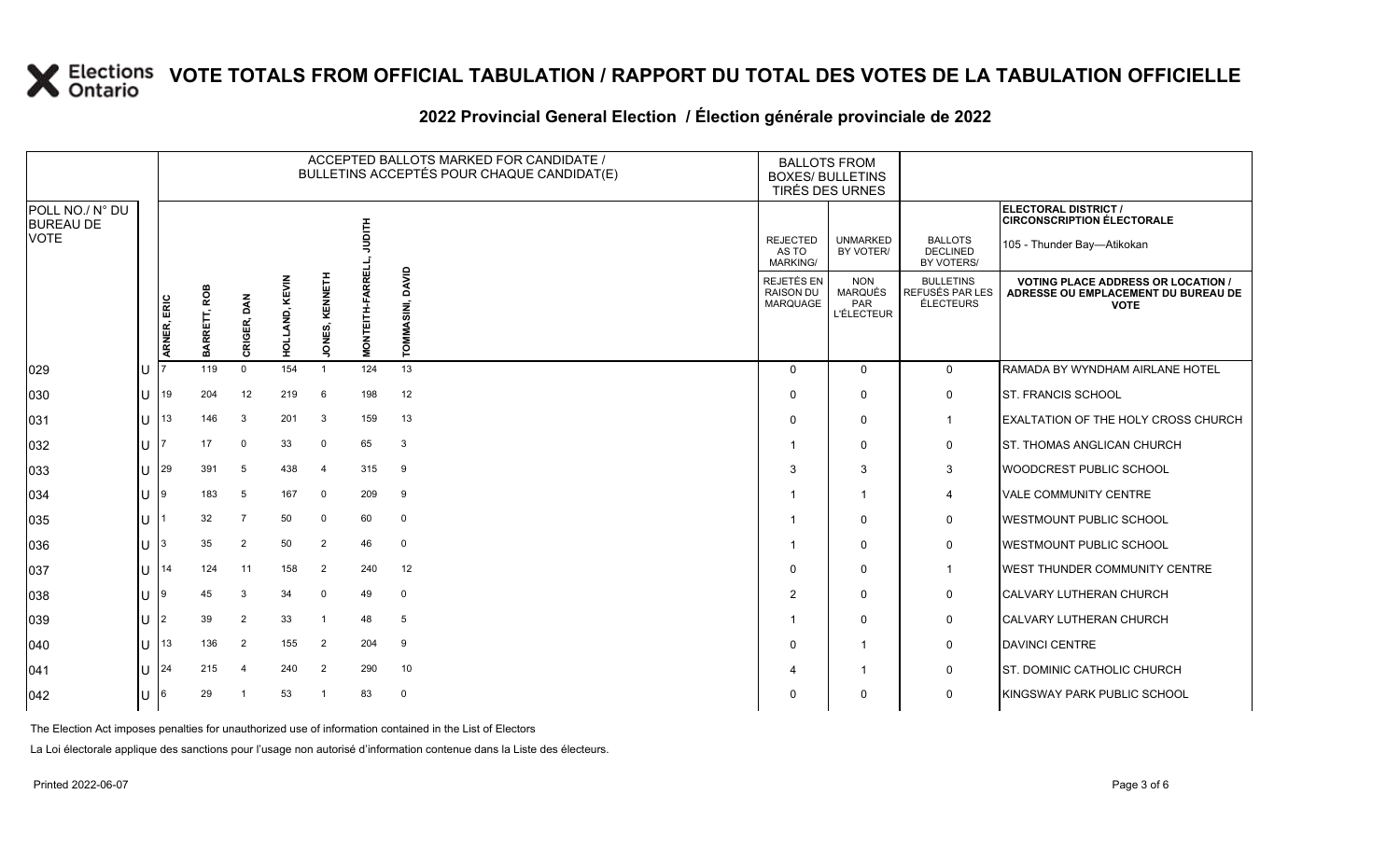### **2022 Provincial General Election / Élection générale provinciale de 2022**

|                                     |   | ACCEPTED BALLOTS MARKED FOR CANDIDATE /<br>BULLETINS ACCEPTÉS POUR CHAQUE CANDIDAT(E) |              |                |                       |                   |                         |                    | <b>BALLOTS FROM</b><br><b>BOXES/ BULLETINS</b><br>TIRÉS DES URNES |                                                          |                                                  |                                                                                                 |  |
|-------------------------------------|---|---------------------------------------------------------------------------------------|--------------|----------------|-----------------------|-------------------|-------------------------|--------------------|-------------------------------------------------------------------|----------------------------------------------------------|--------------------------------------------------|-------------------------------------------------------------------------------------------------|--|
| POLL NO./ N° DU<br><b>BUREAU DE</b> |   |                                                                                       |              |                |                       |                   |                         |                    |                                                                   |                                                          |                                                  | ELECTORAL DISTRICT /<br><b>CIRCONSCRIPTION ÉLECTORALE</b>                                       |  |
| <b>VOTE</b>                         |   |                                                                                       |              |                |                       |                   |                         |                    | <b>REJECTED</b><br>AS TO<br><b>MARKING/</b>                       | <b>UNMARKED</b><br>BY VOTER/                             | <b>BALLOTS</b><br><b>DECLINED</b><br>BY VOTERS/  | 105 - Thunder Bay-Atikokan                                                                      |  |
|                                     |   | ARNER, ERIC                                                                           | BARRETT, ROB | CRIGER, DAN    | <b>HOLLAND, KEVIN</b> | KENNETH<br>JONES, | <b>RREL</b><br>MONTEITH | DAVID<br>SIN.<br>ᄛ | <b>REJETÉS EN</b><br><b>RAISON DU</b><br>MARQUAGE                 | <b>NON</b><br><b>MARQUÉS</b><br>PAR<br><b>L'ÉLECTEUR</b> | <b>BULLETINS</b><br>REFUSÉS PAR LES<br>ÉLECTEURS | <b>VOTING PLACE ADDRESS OR LOCATION /</b><br>ADRESSE OU EMPLACEMENT DU BUREAU DE<br><b>VOTE</b> |  |
| 029                                 |   |                                                                                       | 119          | $\mathbf 0$    | 154                   | $\overline{1}$    | 124                     | 13                 | $\Omega$                                                          | $\Omega$                                                 | $\mathbf 0$                                      | RAMADA BY WYNDHAM AIRLANE HOTEL                                                                 |  |
| 030                                 | U | 19                                                                                    | 204          | 12             | 219                   | 6                 | 198                     | 12                 | $\Omega$                                                          | $\Omega$                                                 | 0                                                | <b>ST. FRANCIS SCHOOL</b>                                                                       |  |
| 031                                 | U | 13                                                                                    | 146          | 3              | 201                   | -3                | 159                     | 13                 | $\Omega$                                                          | $\mathbf 0$                                              | $\mathbf 1$                                      | EXALTATION OF THE HOLY CROSS CHURCH                                                             |  |
| 032                                 | U |                                                                                       | 17           | $\mathbf 0$    | 33                    | $\mathbf 0$       | 65                      | 3                  |                                                                   | $\Omega$                                                 | 0                                                | <b>ST. THOMAS ANGLICAN CHURCH</b>                                                               |  |
| 033                                 | U | 29                                                                                    | 391          | 5              | 438                   | $\overline{4}$    | 315                     | 9                  | 3                                                                 | 3                                                        | 3                                                | WOODCREST PUBLIC SCHOOL                                                                         |  |
| 034                                 | U | 9                                                                                     | 183          | 5              | 167                   | $\mathbf 0$       | 209                     | 9                  |                                                                   | $\overline{\mathbf{1}}$                                  | 4                                                | <b>VALE COMMUNITY CENTRE</b>                                                                    |  |
| 035                                 | U |                                                                                       | 32           | $\overline{7}$ | 50                    | $\mathbf 0$       | 60                      | $\mathbf 0$        |                                                                   | $\mathbf{0}$                                             | 0                                                | <b>IWESTMOUNT PUBLIC SCHOOL</b>                                                                 |  |
| 036                                 | U |                                                                                       | 35           | $\overline{2}$ | 50                    | $\overline{2}$    | 46                      | $\mathbf 0$        |                                                                   | $\mathbf{0}$                                             | 0                                                | <b>WESTMOUNT PUBLIC SCHOOL</b>                                                                  |  |
| 037                                 | U | 14                                                                                    | 124          | 11             | 158                   | $\overline{2}$    | 240                     | 12                 | $\Omega$                                                          | $\Omega$                                                 | -1                                               | <b>IWEST THUNDER COMMUNITY CENTRE</b>                                                           |  |
| 038                                 | U |                                                                                       | 45           | 3              | 34                    | $\mathbf 0$       | 49                      | $\mathbf 0$        | $\overline{2}$                                                    | $\Omega$                                                 | 0                                                | CALVARY LUTHERAN CHURCH                                                                         |  |
| 039                                 | U | 2                                                                                     | 39           | $\overline{2}$ | 33                    | $\overline{1}$    | 48                      | 5                  |                                                                   | $\mathbf 0$                                              | 0                                                | CALVARY LUTHERAN CHURCH                                                                         |  |
| 040                                 | U | 13                                                                                    | 136          | $\overline{2}$ | 155                   | $\overline{2}$    | 204                     | 9                  | $\Omega$                                                          | $\overline{1}$                                           | 0                                                | DAVINCI CENTRE                                                                                  |  |
| 041                                 | U | 24                                                                                    | 215          | $\overline{4}$ | 240                   | $\overline{2}$    | 290                     | 10                 |                                                                   | $\overline{\mathbf{1}}$                                  | 0                                                | <b>ST. DOMINIC CATHOLIC CHURCH</b>                                                              |  |
| 042                                 |   |                                                                                       | 29           |                | 53                    | $\overline{1}$    | 83                      | $\mathbf 0$        | $\Omega$                                                          | $\Omega$                                                 | $\mathbf 0$                                      | <b>KINGSWAY PARK PUBLIC SCHOOL</b>                                                              |  |

The Election Act imposes penalties for unauthorized use of information contained in the List of Electors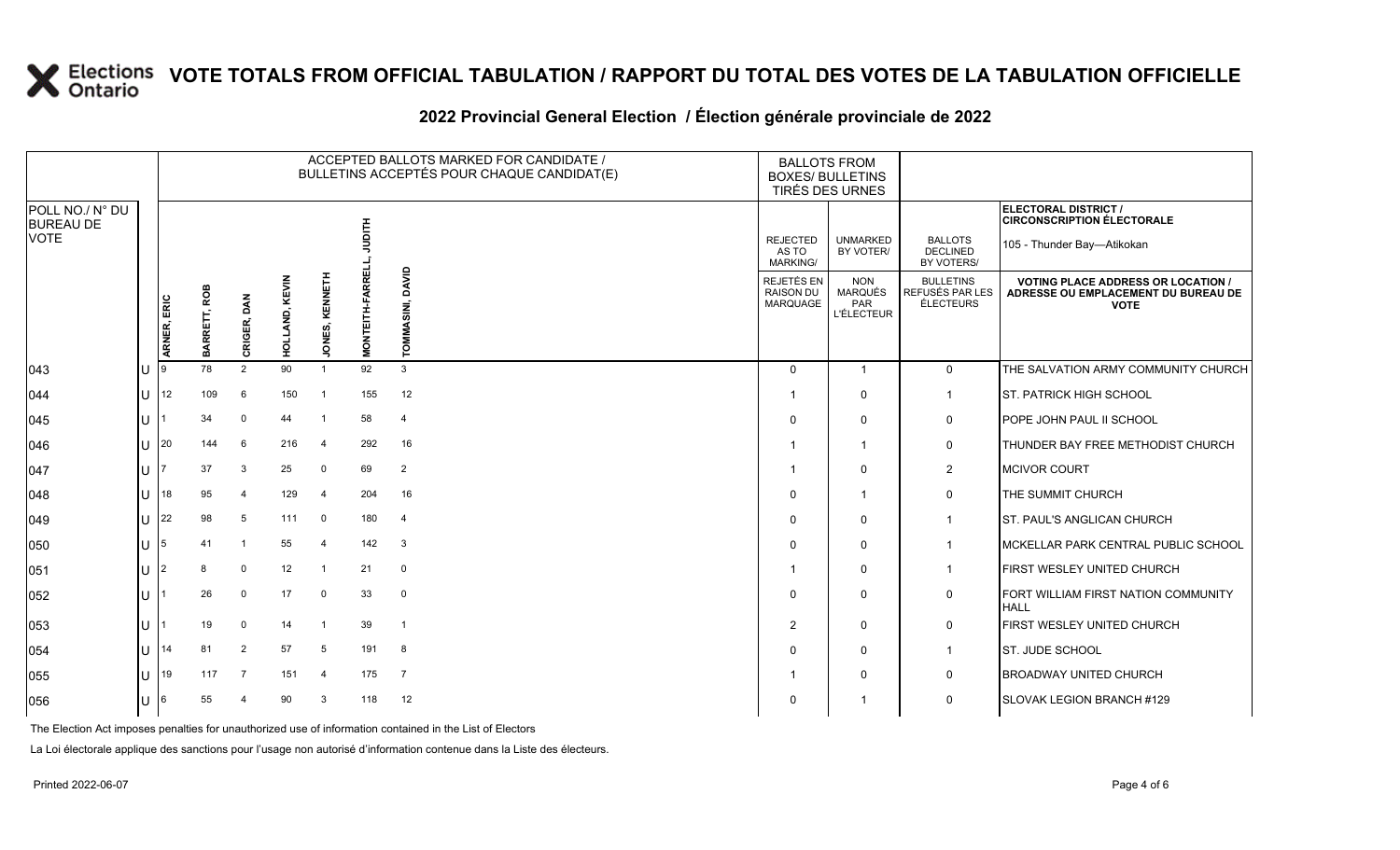### **2022 Provincial General Election / Élection générale provinciale de 2022**

|                                     |        |             | ACCEPTED BALLOTS MARKED FOR CANDIDATE /<br><b>BALLOTS FROM</b><br>BULLETINS ACCEPTÉS POUR CHAQUE CANDIDAT(E)<br><b>BOXES/ BULLETINS</b><br>TIRÉS DES URNES |                |            |                     |                        |                     |                                                   |                                                   |                                                  |                                                                                               |
|-------------------------------------|--------|-------------|------------------------------------------------------------------------------------------------------------------------------------------------------------|----------------|------------|---------------------|------------------------|---------------------|---------------------------------------------------|---------------------------------------------------|--------------------------------------------------|-----------------------------------------------------------------------------------------------|
| POLL NO./ N° DU<br><b>BUREAU DE</b> |        |             |                                                                                                                                                            |                |            |                     |                        |                     |                                                   |                                                   |                                                  | <b>ELECTORAL DISTRICT /</b><br><b>CIRCONSCRIPTION ÉLECTORALE</b>                              |
| <b>VOTE</b>                         |        |             |                                                                                                                                                            |                |            |                     |                        |                     | <b>REJECTED</b><br>AS TO<br>MARKING/              | <b>UNMARKED</b><br>BY VOTER/                      | <b>BALLOTS</b><br><b>DECLINED</b><br>BY VOTERS/  | 105 - Thunder Bay-Atikokan                                                                    |
|                                     |        | ARNER, ERIC | ROB<br>BARRETT,                                                                                                                                            | DAN<br>CRIGER, | KEVIN<br>효 | KENNET<br>ξ<br>っ    | <b>MONTEITH-FARREL</b> | DAVID<br>SINI.<br>δ | REJETÉS EN<br><b>RAISON DU</b><br><b>MARQUAGE</b> | <b>NON</b><br>MARQUÉS<br>PAR<br><b>L'ÉLECTEUR</b> | <b>BULLETINS</b><br>REFUSÉS PAR LES<br>ÉLECTEURS | <b>VOTING PLACE ADDRESS OR LOCATION</b><br>ADRESSE OU EMPLACEMENT DU BUREAU DE<br><b>VOTE</b> |
| 043                                 |        | ١g          | 78                                                                                                                                                         | $\overline{2}$ | 90         | $\overline{1}$      | 92                     | 3                   | $\Omega$                                          | -1                                                | $\mathbf 0$                                      | THE SALVATION ARMY COMMUNITY CHURCH                                                           |
| 044                                 | ΙUΓ    | 12          | 109                                                                                                                                                        | 6              | 150        | -1                  | 155                    | 12                  | -1                                                | $\Omega$                                          | $\mathbf{1}$                                     | <b>ST. PATRICK HIGH SCHOOL</b>                                                                |
| 045                                 | ПT     |             | 34                                                                                                                                                         | 0              | 44         |                     | 58                     | $\overline{4}$      | $\Omega$                                          | $\mathbf{0}$                                      | $\mathbf 0$                                      | POPE JOHN PAUL II SCHOOL                                                                      |
| 046                                 | $U$ 20 |             | 144                                                                                                                                                        | 6              | 216        | -4                  | 292                    | 16                  |                                                   | -1                                                | 0                                                | THUNDER BAY FREE METHODIST CHURCH                                                             |
| 047                                 | Ш      |             | 37                                                                                                                                                         | 3              | 25         | $\mathbf 0$         | 69                     | $\overline{2}$      | - 1                                               | $\Omega$                                          | $\overline{2}$                                   | <b>MCIVOR COURT</b>                                                                           |
| 048                                 | ΠT     | 18          | 95                                                                                                                                                         | $\overline{4}$ | 129        | $\overline{\bf{4}}$ | 204                    | 16                  | $\Omega$                                          | -1                                                | $\mathbf 0$                                      | THE SUMMIT CHURCH                                                                             |
| $ 049\rangle$                       | ΙUΓ    | 22          | 98                                                                                                                                                         | 5              | 111        | $\mathbf 0$         | 180                    | $\overline{4}$      | $\Omega$                                          | $\mathbf{0}$                                      | $\mathbf{1}$                                     | ST. PAUL'S ANGLICAN CHURCH                                                                    |
| 050                                 | ПT     | 15          | 41                                                                                                                                                         | -1             | 55         | $\overline{\bf{4}}$ | 142                    | 3                   | $\Omega$                                          | $\Omega$                                          | $\mathbf{1}$                                     | MCKELLAR PARK CENTRAL PUBLIC SCHOOL                                                           |
| 051                                 | IU     | 2           |                                                                                                                                                            | $\mathbf 0$    | 12         | -1                  | 21                     | $\mathbf 0$         |                                                   | $\mathbf{0}$                                      | $\mathbf{1}$                                     | FIRST WESLEY UNITED CHURCH                                                                    |
| 052                                 | ΙU     |             | 26                                                                                                                                                         | 0              | 17         | $\mathbf 0$         | 33                     | $\mathbf 0$         | $\Omega$                                          | 0                                                 | $\mathbf 0$                                      | FORT WILLIAM FIRST NATION COMMUNITY<br><b>HALL</b>                                            |
| 053                                 | ΙU     |             | 19                                                                                                                                                         | $\Omega$       | 14         | -1                  | 39                     | $\overline{1}$      | $\overline{2}$                                    | $\Omega$                                          | 0                                                | FIRST WESLEY UNITED CHURCH                                                                    |
| 054                                 | ΠL     | 14          | 81                                                                                                                                                         | $\overline{2}$ | 57         | 5                   | 191                    | 8                   | $\Omega$                                          | $\Omega$                                          | $\mathbf{1}$                                     | ST. JUDE SCHOOL                                                                               |
| 055                                 | Ш      | 19          | 117                                                                                                                                                        | $\overline{7}$ | 151        | $\overline{4}$      | 175                    | $\overline{7}$      | -1                                                | $\Omega$                                          | $\mathbf 0$                                      | <b>BROADWAY UNITED CHURCH</b>                                                                 |
| 056                                 | U      | 16          | 55                                                                                                                                                         |                | 90         | 3                   | 118                    | 12                  | $\Omega$                                          |                                                   | 0                                                | SLOVAK LEGION BRANCH #129                                                                     |

The Election Act imposes penalties for unauthorized use of information contained in the List of Electors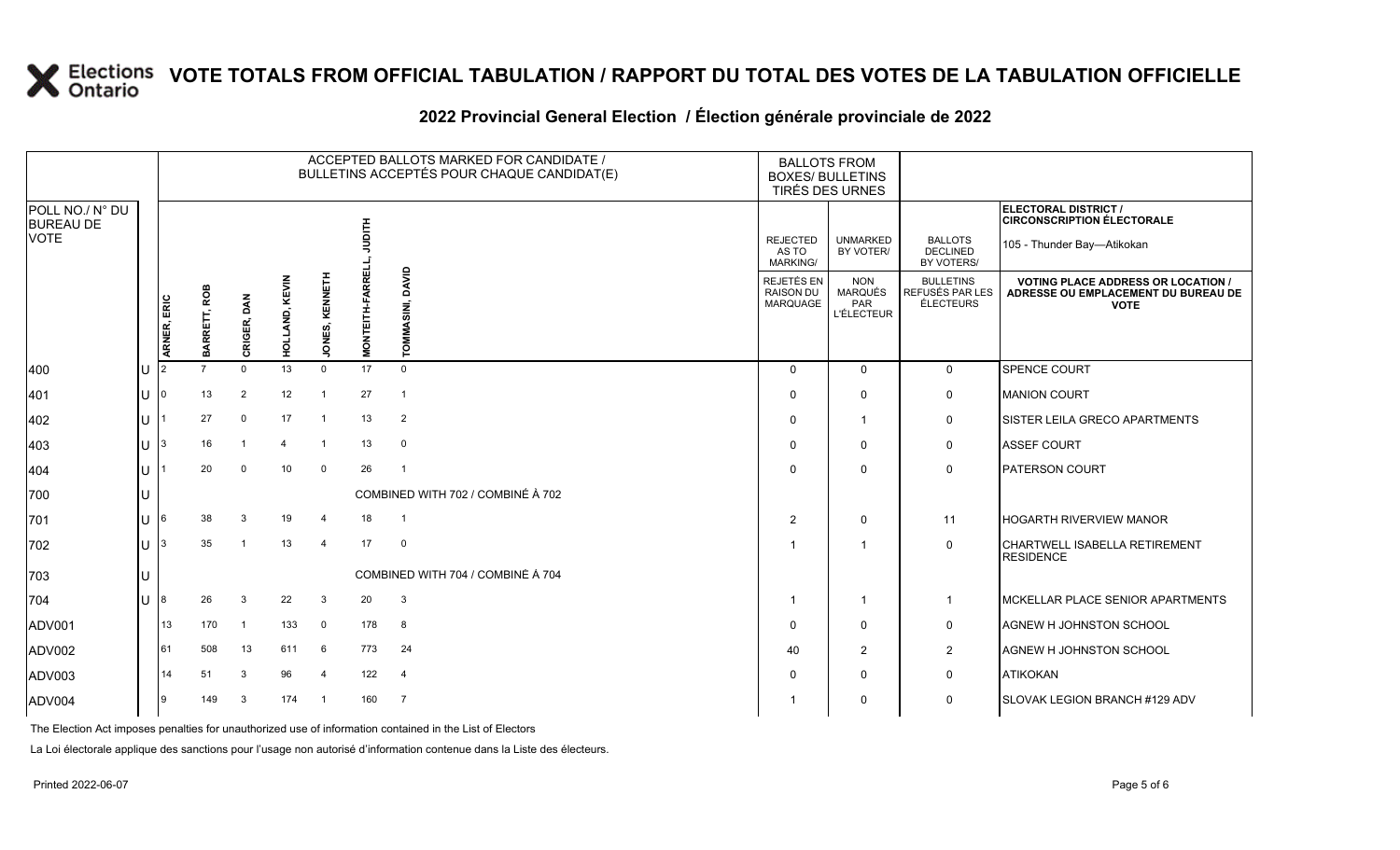### **2022 Provincial General Election / Élection générale provinciale de 2022**

|                                     |    |                |              |                |                |                       |                        | ACCEPTED BALLOTS MARKED FOR CANDIDATE /<br>BULLETINS ACCEPTÉS POUR CHAQUE CANDIDAT(E) | <b>BALLOTS FROM</b><br><b>BOXES/ BULLETINS</b>    | TIRÉS DES URNES                                          |                                                  |                                                                                                 |
|-------------------------------------|----|----------------|--------------|----------------|----------------|-----------------------|------------------------|---------------------------------------------------------------------------------------|---------------------------------------------------|----------------------------------------------------------|--------------------------------------------------|-------------------------------------------------------------------------------------------------|
| POLL NO./ N° DU<br><b>BUREAU DE</b> |    |                |              |                |                |                       |                        |                                                                                       |                                                   |                                                          |                                                  | ELECTORAL DISTRICT /<br><b>CIRCONSCRIPTION ÉLECTORALE</b>                                       |
| <b>VOTE</b>                         |    |                |              |                |                |                       | 自号                     |                                                                                       | <b>REJECTED</b><br>AS TO<br><b>MARKING/</b>       | <b>UNMARKED</b><br>BY VOTER/                             | <b>BALLOTS</b><br><b>DECLINED</b><br>BY VOTERS/  | 105 - Thunder Bay-Atikokan                                                                      |
|                                     |    | ARNER, ERIC    | BARRETT, ROB | CRIGER, DAN    | HOLLAND, KEVIN | <b>JONES, KENNETH</b> | <b>MONTEITH-FARREL</b> | DAVID<br>ᄛ                                                                            | REJETÉS EN<br><b>RAISON DU</b><br><b>MARQUAGE</b> | <b>NON</b><br><b>MARQUÉS</b><br>PAR<br><b>L'ÉLECTEUR</b> | <b>BULLETINS</b><br>REFUSÉS PAR LES<br>ÉLECTEURS | <b>VOTING PLACE ADDRESS OR LOCATION /</b><br>ADRESSE OU EMPLACEMENT DU BUREAU DE<br><b>VOTE</b> |
| 400                                 | Iυ | $\overline{2}$ |              | $\mathbf{0}$   | 13             | $\mathbf 0$           | 17                     | $\Omega$                                                                              | $\Omega$                                          | $\mathbf 0$                                              | $\mathsf{O}$                                     | SPENCE COURT                                                                                    |
| 401                                 | Iυ |                | 13           | $\overline{2}$ | 12             | -1                    | 27                     | $\mathbf{1}$                                                                          | $\Omega$                                          | $\mathbf 0$                                              | $\mathsf{O}$                                     | <b>MANION COURT</b>                                                                             |
| 402                                 | lu |                | 27           | $\mathbf 0$    | 17             | -1                    | 13                     | $\overline{2}$                                                                        | $\Omega$                                          | $\overline{\mathbf{1}}$                                  | $\mathbf 0$                                      | SISTER LEILA GRECO APARTMENTS                                                                   |
| 403                                 | Iυ | 3              | 16           |                | 4              | $\overline{1}$        | 13                     | $\mathbf 0$                                                                           | $\Omega$                                          | $\mathbf 0$                                              | $\mathsf{O}$                                     | <b>ASSEF COURT</b>                                                                              |
| 404                                 | lu |                | 20           | $\Omega$       | 10             | $\mathbf 0$           | 26                     | $\overline{1}$                                                                        | $\Omega$                                          | 0                                                        | $\mathbf 0$                                      | <b>PATERSON COURT</b>                                                                           |
| 700                                 | lυ |                |              |                |                |                       |                        | COMBINED WITH 702 / COMBINÉ À 702                                                     |                                                   |                                                          |                                                  |                                                                                                 |
| 701                                 | lu | 6              | 38           | 3              | 19             | -4                    | 18                     | $\overline{1}$                                                                        | $\overline{2}$                                    | $\mathbf 0$                                              | 11                                               | <b>HOGARTH RIVERVIEW MANOR</b>                                                                  |
| 702                                 | lu |                | 35           |                | 13             | $\overline{4}$        | 17                     | $\mathbf 0$                                                                           |                                                   | -1                                                       | $\mathsf 0$                                      | CHARTWELL ISABELLA RETIREMENT<br><b>RESIDENCE</b>                                               |
| 703                                 | Iυ |                |              |                |                |                       |                        | COMBINED WITH 704 / COMBINÉ À 704                                                     |                                                   |                                                          |                                                  |                                                                                                 |
| 704                                 | lu |                | 26           | 3              | 22             | 3                     | 20                     | $\mathbf{3}$                                                                          |                                                   | $\overline{\mathbf{1}}$                                  | $\mathbf{1}$                                     | MCKELLAR PLACE SENIOR APARTMENTS                                                                |
| ADV001                              |    | 13             | 170          | $\overline{1}$ | 133            | $\mathbf 0$           | 178                    | 8                                                                                     | $\Omega$                                          | $\mathbf 0$                                              | 0                                                | <b>AGNEW H JOHNSTON SCHOOL</b>                                                                  |
| ADV002                              |    | 61             | 508          | 13             | 611            | 6                     | 773                    | 24                                                                                    | 40                                                | 2                                                        | $\overline{2}$                                   | AGNEW H JOHNSTON SCHOOL                                                                         |
| ADV003                              |    | 14             | 51           | 3              | 96             | $\overline{4}$        | 122                    | $\overline{4}$                                                                        | $\Omega$                                          | $\mathbf 0$                                              | $\mathsf{O}$                                     | <b>ATIKOKAN</b>                                                                                 |
| ADV004                              |    | 9              | 149          | 3              | 174            | -1                    | 160                    | $\overline{7}$                                                                        |                                                   | 0                                                        | $\mathbf 0$                                      | SLOVAK LEGION BRANCH #129 ADV                                                                   |

The Election Act imposes penalties for unauthorized use of information contained in the List of Electors